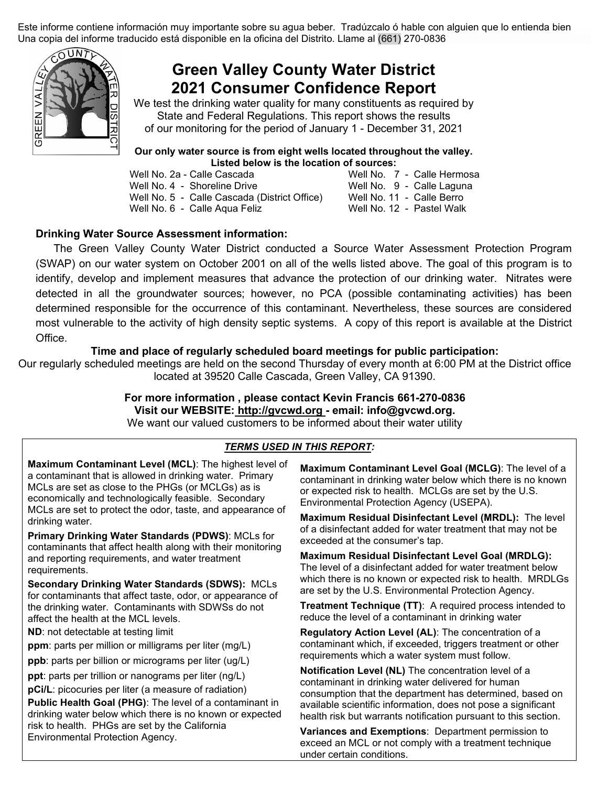Este informe contiene información muy importante sobre su agua beber. Tradúzcalo ó hable con alguien que lo entienda bien Una copia del informe traducido está disponible en la oficina del Distrito. Llame al (661) 270-0836



# **Green Valley County Water District 2021 Consumer Confidence Report**

We test the drinking water quality for many constituents as required by State and Federal Regulations. This report shows the results of our monitoring for the period of January 1 - December 31, 2021

# **Our only water source is from eight wells located throughout the valley. Listed below is the location of sources:**<br>Well No. 2a - Calle Cascada Well No. 7

Well No. 4 - Shoreline Drive Well No. 9 - Calle Lagun<br>Well No. 5 - Calle Cascada (District Office) Well No. 11 - Calle Berro

Well No. 5 - Calle Cascada (District Office) Well No. 11 - Calle Berro<br>Well No. 6 - Calle Aqua Feliz Well No. 12 - Pastel Walk Well No. 6 - Calle Aqua Feliz

Well No. 7 - Calle Hermosa<br>Well No. 9 - Calle Laguna

### **Drinking Water Source Assessment information:**

The Green Valley County Water District conducted a Source Water Assessment Protection Program (SWAP) on our water system on October 2001 on all of the wells listed above. The goal of this program is to identify, develop and implement measures that advance the protection of our drinking water. Nitrates were detected in all the groundwater sources; however, no PCA (possible contaminating activities) has been determined responsible for the occurrence of this contaminant. Nevertheless, these sources are considered most vulnerable to the activity of high density septic systems. A copy of this report is available at the District Office.

#### **Time and place of regularly scheduled board meetings for public participation:**

Our regularly scheduled meetings are held on the second Thursday of every month at 6:00 PM at the District office located at 39520 Calle Cascada, Green Valley, CA 91390.

# **For more information , please contact Kevin Francis 661-270-0836 Visit our WEBSITE: [http://gvcwd.org](http://gvcwd.org/) - email: info@gvcwd.org.**

We want our valued customers to be informed about their water utility

## *TERMS USED IN THIS REPORT:*

**Maximum Contaminant Level (MCL)**: The highest level of a contaminant that is allowed in drinking water. Primary MCLs are set as close to the PHGs (or MCLGs) as is economically and technologically feasible. Secondary MCLs are set to protect the odor, taste, and appearance of drinking water.

**Primary Drinking Water Standards (PDWS)**: MCLs for contaminants that affect health along with their monitoring and reporting requirements, and water treatment requirements.

**Secondary Drinking Water Standards (SDWS):** MCLs for contaminants that affect taste, odor, or appearance of the drinking water. Contaminants with SDWSs do not affect the health at the MCL levels.

**ND**: not detectable at testing limit

**ppm**: parts per million or milligrams per liter (mg/L)

**ppb**: parts per billion or micrograms per liter (ug/L)

**ppt**: parts per trillion or nanograms per liter (ng/L) **pCi/L**: picocuries per liter (a measure of radiation)

**Public Health Goal (PHG)**: The level of a contaminant in drinking water below which there is no known or expected risk to health. PHGs are set by the California Environmental Protection Agency.

**Maximum Contaminant Level Goal (MCLG)**: The level of a contaminant in drinking water below which there is no known or expected risk to health. MCLGs are set by the U.S. Environmental Protection Agency (USEPA).

**Maximum Residual Disinfectant Level (MRDL):** The level of a disinfectant added for water treatment that may not be exceeded at the consumer's tap.

**Maximum Residual Disinfectant Level Goal (MRDLG):**  The level of a disinfectant added for water treatment below which there is no known or expected risk to health. MRDLGs are set by the U.S. Environmental Protection Agency.

**Treatment Technique (TT)**: A required process intended to reduce the level of a contaminant in drinking water

**Regulatory Action Level (AL)**: The concentration of a contaminant which, if exceeded, triggers treatment or other requirements which a water system must follow.

**Notification Level (NL)** The concentration level of a contaminant in drinking water delivered for human consumption that the department has determined, based on available scientific information, does not pose a significant health risk but warrants notification pursuant to this section.

**Variances and Exemptions**: Department permission to exceed an MCL or not comply with a treatment technique under certain conditions.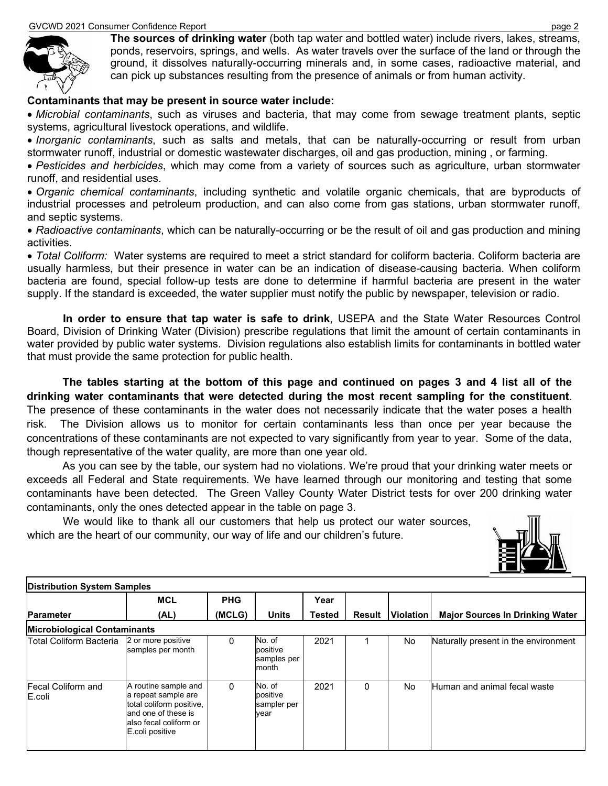

**The sources of drinking water** (both tap water and bottled water) include rivers, lakes, streams, ponds, reservoirs, springs, and wells. As water travels over the surface of the land or through the ground, it dissolves naturally-occurring minerals and, in some cases, radioactive material, and can pick up substances resulting from the presence of animals or from human activity.

#### **Contaminants that may be present in source water include:**

• *Microbial contaminants*, such as viruses and bacteria, that may come from sewage treatment plants, septic systems, agricultural livestock operations, and wildlife.

• *Inorganic contaminants*, such as salts and metals, that can be naturally-occurring or result from urban stormwater runoff, industrial or domestic wastewater discharges, oil and gas production, mining , or farming.

• *Pesticides and herbicides*, which may come from a variety of sources such as agriculture, urban stormwater runoff, and residential uses.

• *Organic chemical contaminants*, including synthetic and volatile organic chemicals, that are byproducts of industrial processes and petroleum production, and can also come from gas stations, urban stormwater runoff, and septic systems.

• *Radioactive contaminants*, which can be naturally-occurring or be the result of oil and gas production and mining activities.

• *Total Coliform:* Water systems are required to meet a strict standard for coliform bacteria. Coliform bacteria are usually harmless, but their presence in water can be an indication of disease-causing bacteria. When coliform bacteria are found, special follow-up tests are done to determine if harmful bacteria are present in the water supply. If the standard is exceeded, the water supplier must notify the public by newspaper, television or radio.

**In order to ensure that tap water is safe to drink**, USEPA and the State Water Resources Control Board, Division of Drinking Water (Division) prescribe regulations that limit the amount of certain contaminants in water provided by public water systems. Division regulations also establish limits for contaminants in bottled water that must provide the same protection for public health.

**The tables starting at the bottom of this page and continued on pages 3 and 4 list all of the drinking water contaminants that were detected during the most recent sampling for the constituent**. The presence of these contaminants in the water does not necessarily indicate that the water poses a health risk. The Division allows us to monitor for certain contaminants less than once per year because the concentrations of these contaminants are not expected to vary significantly from year to year. Some of the data, though representative of the water quality, are more than one year old.

As you can see by the table, our system had no violations. We're proud that your drinking water meets or exceeds all Federal and State requirements. We have learned through our monitoring and testing that some contaminants have been detected. The Green Valley County Water District tests for over 200 drinking water contaminants, only the ones detected appear in the table on page 3.

We would like to thank all our customers that help us protect our water sources, which are the heart of our community, our way of life and our children's future.



| <b>Distribution System Samples</b>  |                                                                                                                                              |            |                                            |        |               |           |                                        |  |
|-------------------------------------|----------------------------------------------------------------------------------------------------------------------------------------------|------------|--------------------------------------------|--------|---------------|-----------|----------------------------------------|--|
|                                     | <b>MCL</b>                                                                                                                                   | <b>PHG</b> |                                            | Year   |               |           |                                        |  |
| <b>Parameter</b>                    | (AL)                                                                                                                                         | (MCLG)     | <b>Units</b>                               | Tested | <b>Result</b> | Violation | <b>Major Sources In Drinking Water</b> |  |
| <b>Microbiological Contaminants</b> |                                                                                                                                              |            |                                            |        |               |           |                                        |  |
| Total Coliform Bacteria             | 2 or more positive<br>samples per month                                                                                                      | 0          | No. of<br>positive<br>samples per<br>month | 2021   |               | No.       | Naturally present in the environment   |  |
| <b>Fecal Coliform and</b><br>E.coli | A routine sample and<br>a repeat sample are<br>total coliform positive.<br>and one of these is<br>lalso fecal coliform or<br>E.coli positive | $\Omega$   | No. of<br>positive<br>sampler per<br>vear  | 2021   | 0             | No.       | Human and animal fecal waste           |  |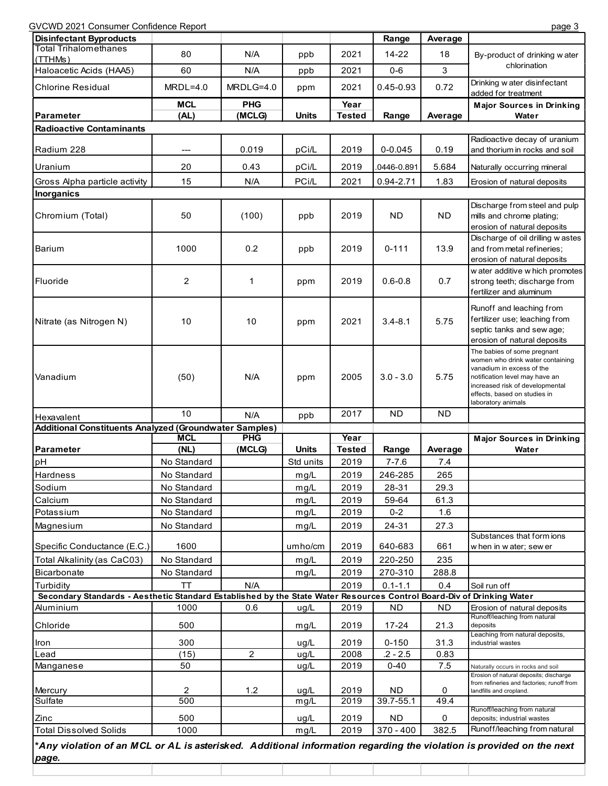GVCWD 2021 Consumer Confidence Report

| <b>Disinfectant Byproducts</b>                                                                                                                        |             |                |              |               | Range       | Average   |                                                                                                                                                                                                                         |  |  |  |
|-------------------------------------------------------------------------------------------------------------------------------------------------------|-------------|----------------|--------------|---------------|-------------|-----------|-------------------------------------------------------------------------------------------------------------------------------------------------------------------------------------------------------------------------|--|--|--|
| <b>Total Trihalomethanes</b>                                                                                                                          | 80          | N/A            | ppb          | 2021          | $14 - 22$   | 18        | By-product of drinking water                                                                                                                                                                                            |  |  |  |
| (TTHMs)<br>Haloacetic Acids (HAA5)                                                                                                                    | 60          | N/A            | ppb          | 2021          | $0-6$       | 3         | chlorination                                                                                                                                                                                                            |  |  |  |
| <b>Chlorine Residual</b>                                                                                                                              | $MRDL=4.0$  | MRDLG=4.0      | ppm          | 2021          | 0.45-0.93   | 0.72      | Drinking w ater disinfectant<br>added for treatment                                                                                                                                                                     |  |  |  |
|                                                                                                                                                       | <b>MCL</b>  | <b>PHG</b>     |              | Year          |             |           | <b>Major Sources in Drinking</b>                                                                                                                                                                                        |  |  |  |
| Parameter                                                                                                                                             | (AL)        | (MCLG)         | <b>Units</b> | <b>Tested</b> | Range       | Average   | Water                                                                                                                                                                                                                   |  |  |  |
| <b>Radioactive Contaminants</b>                                                                                                                       |             |                |              |               |             |           |                                                                                                                                                                                                                         |  |  |  |
|                                                                                                                                                       |             |                |              |               |             |           | Radioactive decay of uranium                                                                                                                                                                                            |  |  |  |
| Radium 228                                                                                                                                            | ---         | 0.019          | pCi/L        | 2019          | $0 - 0.045$ | 0.19      | and thorium in rocks and soil                                                                                                                                                                                           |  |  |  |
| Uranium                                                                                                                                               | 20          | 0.43           | pCi/L        | 2019          | 0446-0.891  | 5.684     | Naturally occurring mineral                                                                                                                                                                                             |  |  |  |
| Gross Alpha particle activity                                                                                                                         | 15          | N/A            | PCi/L        | 2021          | 0.94-2.71   | 1.83      | Erosion of natural deposits                                                                                                                                                                                             |  |  |  |
| <b>Inorganics</b>                                                                                                                                     |             |                |              |               |             |           |                                                                                                                                                                                                                         |  |  |  |
| Chromium (Total)                                                                                                                                      | 50          | (100)          | ppb          | 2019          | <b>ND</b>   | <b>ND</b> | Discharge from steel and pulp<br>mills and chrome plating;<br>erosion of natural deposits                                                                                                                               |  |  |  |
| Barium                                                                                                                                                | 1000        | 0.2            | ppb          | 2019          | $0 - 111$   | 13.9      | Discharge of oil drilling w astes<br>and from metal refineries;<br>erosion of natural deposits                                                                                                                          |  |  |  |
| Fluoride                                                                                                                                              | 2           | 1              | ppm          | 2019          | $0.6 - 0.8$ | 0.7       | w ater additive w hich promotes<br>strong teeth; discharge from<br>fertilizer and aluminum                                                                                                                              |  |  |  |
| Nitrate (as Nitrogen N)                                                                                                                               | 10          | 10             | ppm          | 2021          | $3.4 - 8.1$ | 5.75      | Runoff and leaching from<br>fertilizer use; leaching from<br>septic tanks and sew age;<br>erosion of natural deposits                                                                                                   |  |  |  |
| Vanadium                                                                                                                                              | (50)        | N/A            | ppm          | 2005          | $3.0 - 3.0$ | 5.75      | The babies of some pregnant<br>women who drink water containing<br>vanadium in excess of the<br>notification level may have an<br>increased risk of developmental<br>effects, based on studies in<br>laboratory animals |  |  |  |
|                                                                                                                                                       |             |                |              |               |             | ND.       |                                                                                                                                                                                                                         |  |  |  |
| Hexavalent                                                                                                                                            | 10          | N/A            | ppb          | 2017          | <b>ND</b>   |           |                                                                                                                                                                                                                         |  |  |  |
| Additional Constituents Analyzed (Groundwater Samples)                                                                                                |             |                |              |               |             |           |                                                                                                                                                                                                                         |  |  |  |
|                                                                                                                                                       | <b>MCL</b>  | PHG            |              | Year          |             |           | <b>Major Sources in Drinking</b>                                                                                                                                                                                        |  |  |  |
| Parameter                                                                                                                                             | (NL)        | (MCLG)         | <b>Units</b> | <b>Tested</b> | Range       | Average   | Water                                                                                                                                                                                                                   |  |  |  |
| pH                                                                                                                                                    | No Standard |                | Std units    | 2019          | $7 - 7.6$   | 7.4       |                                                                                                                                                                                                                         |  |  |  |
| <b>Hardness</b>                                                                                                                                       | No Standard |                | mg/L         | 2019          | 246-285     | 265       |                                                                                                                                                                                                                         |  |  |  |
| Sodium                                                                                                                                                | No Standard |                | mg/L         | 2019          | 28-31       | 29.3      |                                                                                                                                                                                                                         |  |  |  |
| Calcium                                                                                                                                               | No Standard |                | mg/L         | 2019          | 59-64       | 61.3      |                                                                                                                                                                                                                         |  |  |  |
| Potassium                                                                                                                                             | No Standard |                | mg/L         | 2019          | $0 - 2$     | 1.6       |                                                                                                                                                                                                                         |  |  |  |
| Magnesium                                                                                                                                             | No Standard |                | mg/L         | 2019          | 24-31       | 27.3      | Substances that form ions                                                                                                                                                                                               |  |  |  |
| Specific Conductance (E.C.)                                                                                                                           | 1600        |                | umho/cm      | 2019          | 640-683     | 661       | when in water; sew er                                                                                                                                                                                                   |  |  |  |
| Total Alkalinity (as CaC03)                                                                                                                           | No Standard |                | mg/L         | 2019          | 220-250     | 235       |                                                                                                                                                                                                                         |  |  |  |
| <b>Bicarbonate</b>                                                                                                                                    | No Standard |                | mg/L         | 2019          | 270-310     | 288.8     |                                                                                                                                                                                                                         |  |  |  |
| Turbidity                                                                                                                                             | <b>TT</b>   | N/A            |              | 2019          | $0.1 - 1.1$ | 0.4       | Soil run off                                                                                                                                                                                                            |  |  |  |
| Secondary Standards - Aesthetic Standard Established by the State Water Resources Control Board-Div of Drinking Water                                 |             |                |              |               |             |           |                                                                                                                                                                                                                         |  |  |  |
| Aluminium                                                                                                                                             | 1000        | 0.6            | ug/L         | 2019          | <b>ND</b>   | <b>ND</b> | Erosion of natural deposits                                                                                                                                                                                             |  |  |  |
| Chloride                                                                                                                                              | 500         |                | mg/L         | 2019          | 17-24       | 21.3      | Runoff/leaching from natural<br>deposits<br>Leaching from natural deposits,                                                                                                                                             |  |  |  |
| Iron                                                                                                                                                  | 300         |                | ug/L         | 2019          | $0 - 150$   | 31.3      | industrial wastes                                                                                                                                                                                                       |  |  |  |
| Lead                                                                                                                                                  | (15)        | $\overline{2}$ | ug/L         | 2008          | $.2 - 2.5$  | 0.83      |                                                                                                                                                                                                                         |  |  |  |
| Manganese                                                                                                                                             | 50          |                | ug/L         | 2019          | $0 - 40$    | $7.5$     | Naturally occurs in rocks and soil                                                                                                                                                                                      |  |  |  |
|                                                                                                                                                       |             |                |              |               |             |           | Erosion of natural deposits; discharge<br>from refineries and factories; runoff from                                                                                                                                    |  |  |  |
| Mercury                                                                                                                                               | 2           | 1.2            | ug/L         | 2019          | ND.         | 0         | landfills and cropland.                                                                                                                                                                                                 |  |  |  |
| Sulfate                                                                                                                                               | 500         |                | mg/L         | 2019          | 39.7-55.1   | 49.4      | Runoff/leaching from natural                                                                                                                                                                                            |  |  |  |
| Zinc                                                                                                                                                  | 500         |                | ug/L         | 2019          | ND.         | 0         | deposits; industrial wastes                                                                                                                                                                                             |  |  |  |
| <b>Total Dissolved Solids</b><br>*Any violation of an MCL or AL is asterisked. Additional information regarding the violation is provided on the next | 1000        |                | mg/L         | 2019          | $370 - 400$ | 382.5     | Runoff/leaching from natural                                                                                                                                                                                            |  |  |  |